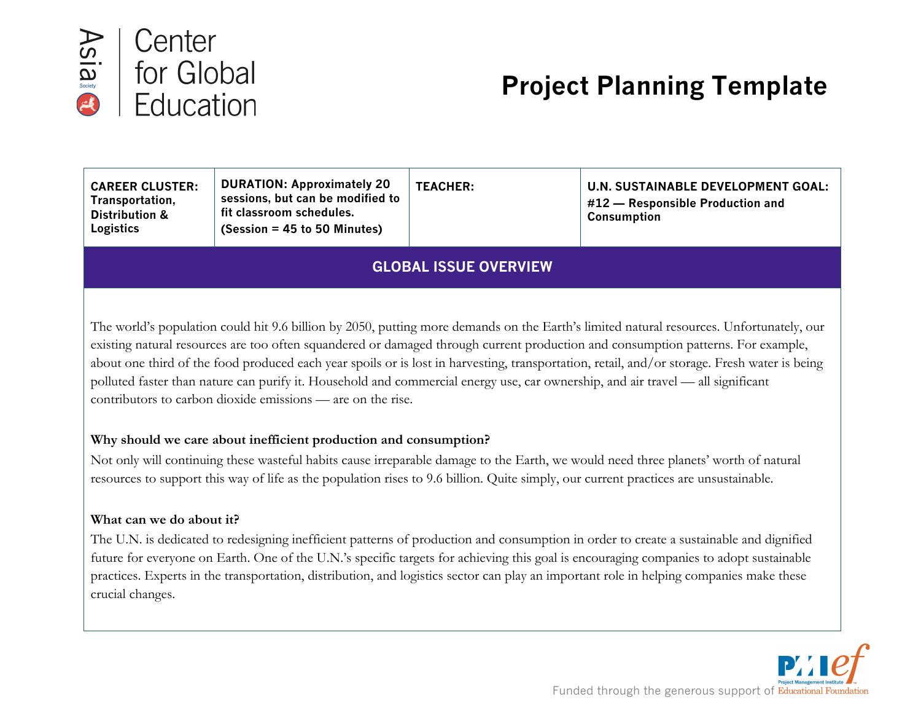

# **Project Planning Template**

| <b>DURATION: Approximately 20</b><br><b>TEACHER:</b><br><b>U.N. SUSTAINABLE DEVELOPMENT GOAL:</b><br><b>CAREER CLUSTER:</b><br>sessions, but can be modified to<br>Transportation,<br>#12 – Responsible Production and<br>fit classroom schedules.<br><b>Distribution &amp;</b><br>Consumption<br>$(Session = 45 to 50$ Minutes)<br>Logistics |  |
|-----------------------------------------------------------------------------------------------------------------------------------------------------------------------------------------------------------------------------------------------------------------------------------------------------------------------------------------------|--|
|-----------------------------------------------------------------------------------------------------------------------------------------------------------------------------------------------------------------------------------------------------------------------------------------------------------------------------------------------|--|

# **GLOBAL ISSUE OVERVIEW**

The world's population could hit 9.6 billion by 2050, putting more demands on the Earth's limited natural resources. Unfortunately, our existing natural resources are too often squandered or damaged through current production and consumption patterns. For example, about one third of the food produced each year spoils or is lost in harvesting, transportation, retail, and/or storage. Fresh water is being polluted faster than nature can purify it. Household and commercial energy use, car ownership, and air travel — all significant contributors to carbon dioxide emissions — are on the rise.

## **Why should we care about inefficient production and consumption?**

Not only will continuing these wasteful habits cause irreparable damage to the Earth, we would need three planets' worth of natural resources to support this way of life as the population rises to 9.6 billion. Quite simply, our current practices are unsustainable.

### **What can we do about it?**

The U.N. is dedicated to redesigning inefficient patterns of production and consumption in order to create a sustainable and dignified future for everyone on Earth. One of the U.N.'s specific targets for achieving this goal is encouraging companies to adopt sustainable practices. Experts in the transportation, distribution, and logistics sector can play an important role in helping companies make these crucial changes.

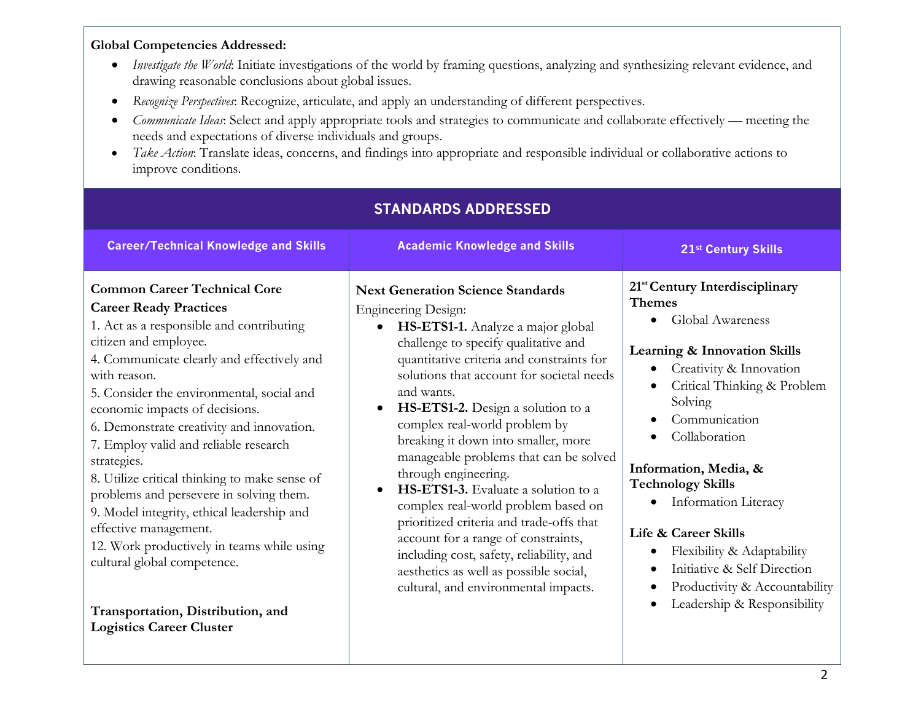## **Global Competencies Addressed:**

- *Investigate the World*: Initiate investigations of the world by framing questions, analyzing and synthesizing relevant evidence, and drawing reasonable conclusions about global issues.
- *Recognize Perspectives*: Recognize, articulate, and apply an understanding of different perspectives.
- *Communicate Ideas*: Select and apply appropriate tools and strategies to communicate and collaborate effectively meeting the needs and expectations of diverse individuals and groups.
- *Take Action*: Translate ideas, concerns, and findings into appropriate and responsible individual or collaborative actions to improve conditions.

| <b>STANDARDS ADDRESSED</b>                                                                                                                                                                                                                                                                                                                                                                                                                                                                                                                                                                                                                                                                                          |                                                                                                                                                                                                                                                                                                                                                                                                                                                                                                                                                                                                                                                                                                                                                        |                                                                                                                                                                                                                                                                                                                                                                                                                                                                                         |  |  |  |  |
|---------------------------------------------------------------------------------------------------------------------------------------------------------------------------------------------------------------------------------------------------------------------------------------------------------------------------------------------------------------------------------------------------------------------------------------------------------------------------------------------------------------------------------------------------------------------------------------------------------------------------------------------------------------------------------------------------------------------|--------------------------------------------------------------------------------------------------------------------------------------------------------------------------------------------------------------------------------------------------------------------------------------------------------------------------------------------------------------------------------------------------------------------------------------------------------------------------------------------------------------------------------------------------------------------------------------------------------------------------------------------------------------------------------------------------------------------------------------------------------|-----------------------------------------------------------------------------------------------------------------------------------------------------------------------------------------------------------------------------------------------------------------------------------------------------------------------------------------------------------------------------------------------------------------------------------------------------------------------------------------|--|--|--|--|
| <b>Career/Technical Knowledge and Skills</b>                                                                                                                                                                                                                                                                                                                                                                                                                                                                                                                                                                                                                                                                        | <b>Academic Knowledge and Skills</b>                                                                                                                                                                                                                                                                                                                                                                                                                                                                                                                                                                                                                                                                                                                   | 21st Century Skills                                                                                                                                                                                                                                                                                                                                                                                                                                                                     |  |  |  |  |
| <b>Common Career Technical Core</b><br><b>Career Ready Practices</b><br>1. Act as a responsible and contributing<br>citizen and employee.<br>4. Communicate clearly and effectively and<br>with reason.<br>5. Consider the environmental, social and<br>economic impacts of decisions.<br>6. Demonstrate creativity and innovation.<br>7. Employ valid and reliable research<br>strategies.<br>8. Utilize critical thinking to make sense of<br>problems and persevere in solving them.<br>9. Model integrity, ethical leadership and<br>effective management.<br>12. Work productively in teams while using<br>cultural global competence.<br>Transportation, Distribution, and<br><b>Logistics Career Cluster</b> | <b>Next Generation Science Standards</b><br><b>Engineering Design:</b><br>HS-ETS1-1. Analyze a major global<br>$\bullet$<br>challenge to specify qualitative and<br>quantitative criteria and constraints for<br>solutions that account for societal needs<br>and wants.<br>HS-ETS1-2. Design a solution to a<br>complex real-world problem by<br>breaking it down into smaller, more<br>manageable problems that can be solved<br>through engineering.<br>HS-ETS1-3. Evaluate a solution to a<br>complex real-world problem based on<br>prioritized criteria and trade-offs that<br>account for a range of constraints,<br>including cost, safety, reliability, and<br>aesthetics as well as possible social,<br>cultural, and environmental impacts. | 21 <sup>st</sup> Century Interdisciplinary<br><b>Themes</b><br>Global Awareness<br><b>Learning &amp; Innovation Skills</b><br>Creativity & Innovation<br>Critical Thinking & Problem<br>Solving<br>Communication<br>Collaboration<br>Information, Media, &<br><b>Technology Skills</b><br><b>Information Literacy</b><br>$\bullet$<br>Life & Career Skills<br>Flexibility & Adaptability<br>Initiative & Self Direction<br>Productivity & Accountability<br>Leadership & Responsibility |  |  |  |  |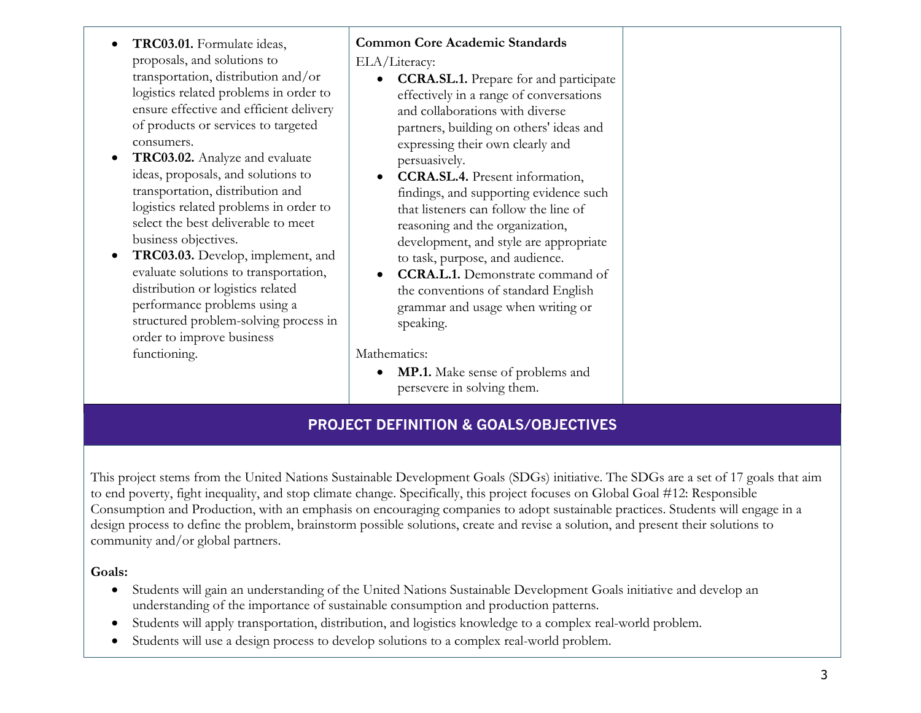- **TRC03.01.** Formulate ideas, proposals, and solutions to transportation, distribution and/or logistics related problems in order to ensure effective and efficient delivery of products or services to targeted consumers.
- **TRC03.02.** Analyze and evaluate ideas, proposals, and solutions to transportation, distribution and logistics related problems in order to select the best deliverable to meet business objectives.
- **TRC03.03.** Develop, implement, and evaluate solutions to transportation, distribution or logistics related performance problems using a structured problem-solving process in order to improve business functioning.

# **Common Core Academic Standards**

ELA/Literacy:

- **CCRA.SL.1.** Prepare for and participate effectively in a range of conversations and collaborations with diverse partners, building on others' ideas and expressing their own clearly and persuasively.
- **CCRA.SL.4.** Present information, findings, and supporting evidence such that listeners can follow the line of reasoning and the organization, development, and style are appropriate to task, purpose, and audience.
- **CCRA.L.1.** Demonstrate command of the conventions of standard English grammar and usage when writing or speaking.

Mathematics:

• **MP.1.** Make sense of problems and persevere in solving them.

# **PROJECT DEFINITION & GOALS/OBJECTIVES**

This project stems from the United Nations Sustainable Development Goals (SDGs) initiative. The SDGs are a set of 17 goals that aim to end poverty, fight inequality, and stop climate change. Specifically, this project focuses on Global Goal #12: Responsible Consumption and Production, with an emphasis on encouraging companies to adopt sustainable practices. Students will engage in a design process to define the problem, brainstorm possible solutions, create and revise a solution, and present their solutions to community and/or global partners.

**Goals:**

- Students will gain an understanding of the United Nations Sustainable Development Goals initiative and develop an understanding of the importance of sustainable consumption and production patterns.
- Students will apply transportation, distribution, and logistics knowledge to a complex real-world problem.
- Students will use a design process to develop solutions to a complex real-world problem.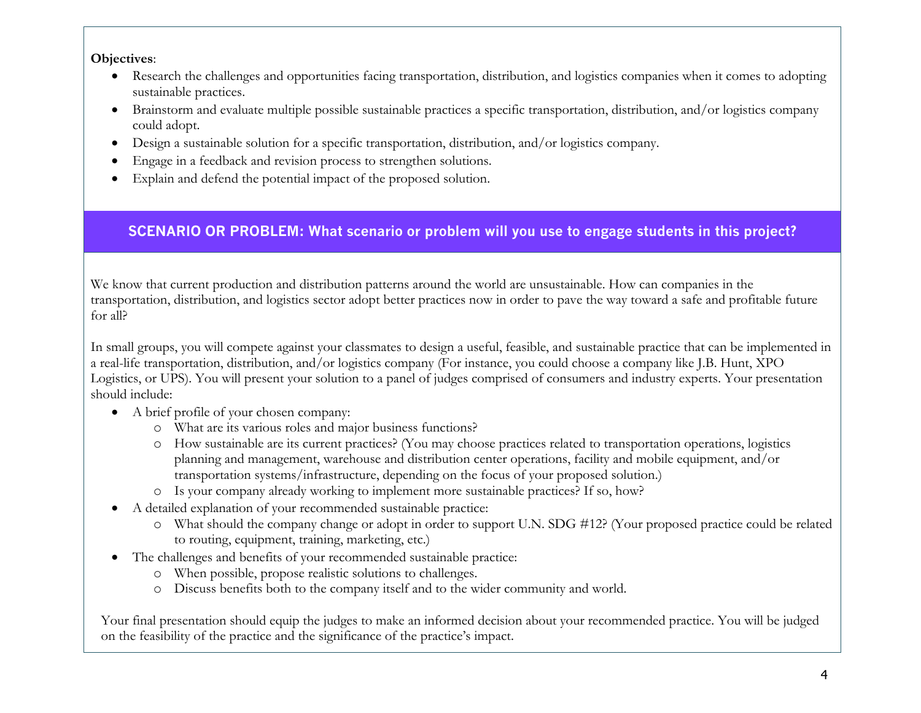## **Objectives**:

- Research the challenges and opportunities facing transportation, distribution, and logistics companies when it comes to adopting sustainable practices.
- Brainstorm and evaluate multiple possible sustainable practices a specific transportation, distribution, and/or logistics company could adopt.
- Design a sustainable solution for a specific transportation, distribution, and/or logistics company.
- Engage in a feedback and revision process to strengthen solutions.
- Explain and defend the potential impact of the proposed solution.

# **SCENARIO OR PROBLEM: What scenario or problem will you use to engage students in this project?**

We know that current production and distribution patterns around the world are unsustainable. How can companies in the transportation, distribution, and logistics sector adopt better practices now in order to pave the way toward a safe and profitable future for all?

In small groups, you will compete against your classmates to design a useful, feasible, and sustainable practice that can be implemented in a real-life transportation, distribution, and/or logistics company (For instance, you could choose a company like J.B. Hunt, XPO Logistics, or UPS). You will present your solution to a panel of judges comprised of consumers and industry experts. Your presentation should include:

- A brief profile of your chosen company:
	- o What are its various roles and major business functions?
	- o How sustainable are its current practices? (You may choose practices related to transportation operations, logistics planning and management, warehouse and distribution center operations, facility and mobile equipment, and/or transportation systems/infrastructure, depending on the focus of your proposed solution.)
	- o Is your company already working to implement more sustainable practices? If so, how?
- A detailed explanation of your recommended sustainable practice:
	- o What should the company change or adopt in order to support U.N. SDG #12? (Your proposed practice could be related to routing, equipment, training, marketing, etc.)
- The challenges and benefits of your recommended sustainable practice:
	- o When possible, propose realistic solutions to challenges.
	- o Discuss benefits both to the company itself and to the wider community and world.

Your final presentation should equip the judges to make an informed decision about your recommended practice. You will be judged on the feasibility of the practice and the significance of the practice's impact.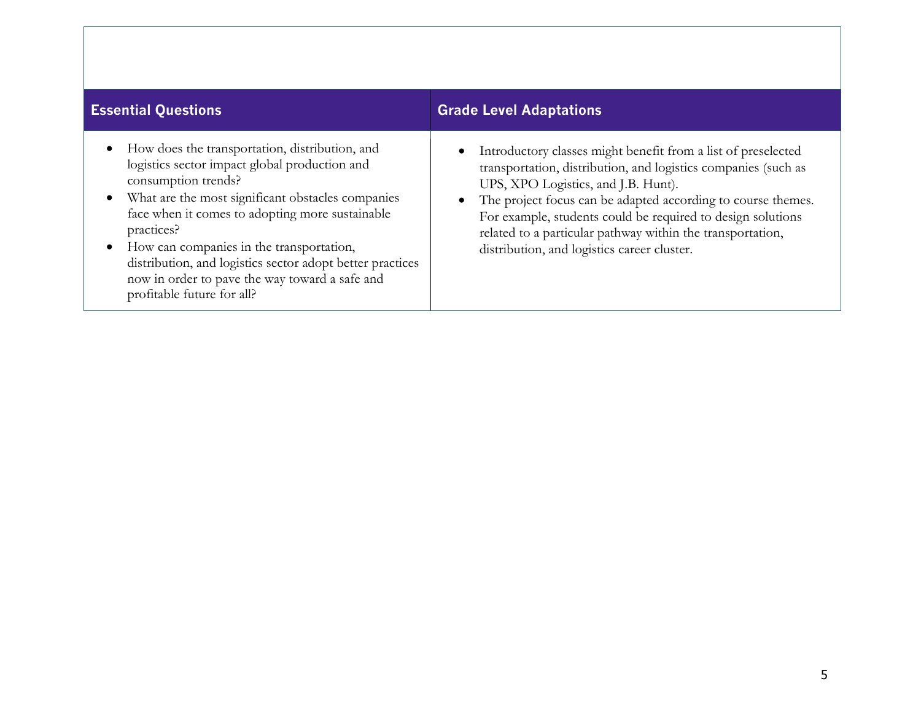| <b>Essential Questions</b>                                                                                                                                                                                                                                                                                                                                                                                                                | <b>Grade Level Adaptations</b>                                                                                                                                                                                                                                                                                                                                                                                     |
|-------------------------------------------------------------------------------------------------------------------------------------------------------------------------------------------------------------------------------------------------------------------------------------------------------------------------------------------------------------------------------------------------------------------------------------------|--------------------------------------------------------------------------------------------------------------------------------------------------------------------------------------------------------------------------------------------------------------------------------------------------------------------------------------------------------------------------------------------------------------------|
| • How does the transportation, distribution, and<br>logistics sector impact global production and<br>consumption trends?<br>• What are the most significant obstacles companies<br>face when it comes to adopting more sustainable<br>practices?<br>How can companies in the transportation,<br>distribution, and logistics sector adopt better practices<br>now in order to pave the way toward a safe and<br>profitable future for all? | Introductory classes might benefit from a list of preselected<br>transportation, distribution, and logistics companies (such as<br>UPS, XPO Logistics, and J.B. Hunt).<br>The project focus can be adapted according to course themes.<br>For example, students could be required to design solutions<br>related to a particular pathway within the transportation,<br>distribution, and logistics career cluster. |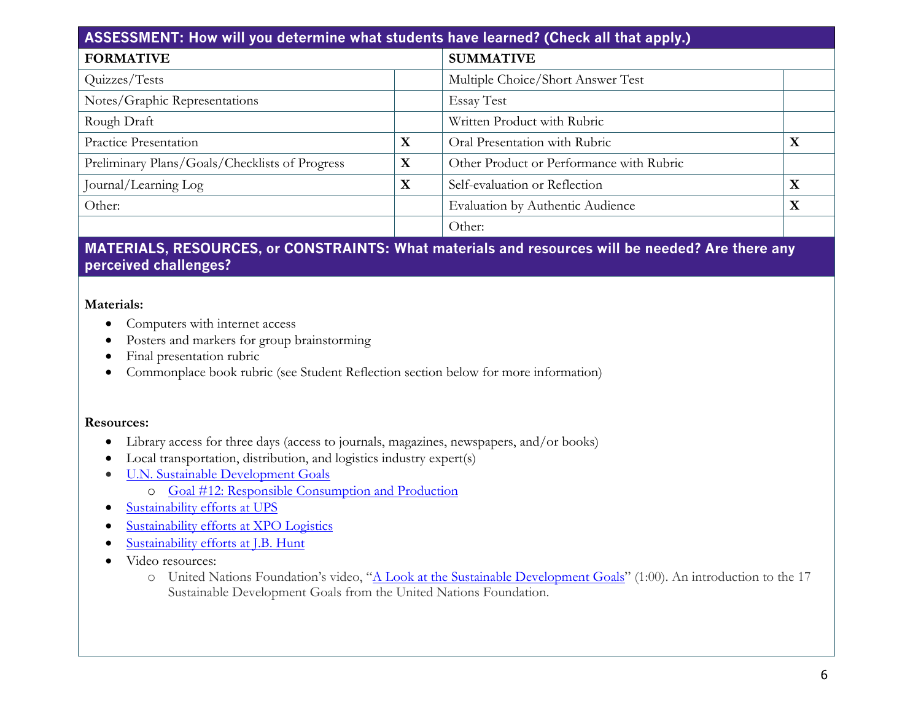| ASSESSMENT: How will you determine what students have learned? (Check all that apply.) |   |                                          |             |
|----------------------------------------------------------------------------------------|---|------------------------------------------|-------------|
| <b>FORMATIVE</b>                                                                       |   | <b>SUMMATIVE</b>                         |             |
| Quizzes/Tests                                                                          |   | Multiple Choice/Short Answer Test        |             |
| Notes/Graphic Representations                                                          |   | <b>Essay Test</b>                        |             |
| Rough Draft                                                                            |   | Written Product with Rubric              |             |
| Practice Presentation                                                                  | X | Oral Presentation with Rubric            | $\mathbf X$ |
| Preliminary Plans/Goals/Checklists of Progress                                         | X | Other Product or Performance with Rubric |             |
| Journal/Learning Log                                                                   | X | Self-evaluation or Reflection            | X           |
| Other:                                                                                 |   | Evaluation by Authentic Audience         | X           |
|                                                                                        |   | Other:                                   |             |

## **MATERIALS, RESOURCES, or CONSTRAINTS: What materials and resources will be needed? Are there any perceived challenges?**

### **Materials:**

- Computers with internet access
- Posters and markers for group brainstorming
- Final presentation rubric
- Commonplace book rubric (see Student Reflection section below for more information)

### **Resources:**

- Library access for three days (access to journals, magazines, newspapers, and/or books)
- Local transportation, distribution, and logistics industry expert(s)
- U.N. Sustainable Development Goals
	- o Goal #12: Responsible Consumption and Production
- Sustainability efforts at UPS
- Sustainability efforts at XPO Logistics
- Sustainability efforts at J.B. Hunt
- Video resources:
	- o United Nations Foundation's video, "A Look at the Sustainable Development Goals" (1:00). An introduction to the 17 Sustainable Development Goals from the United Nations Foundation.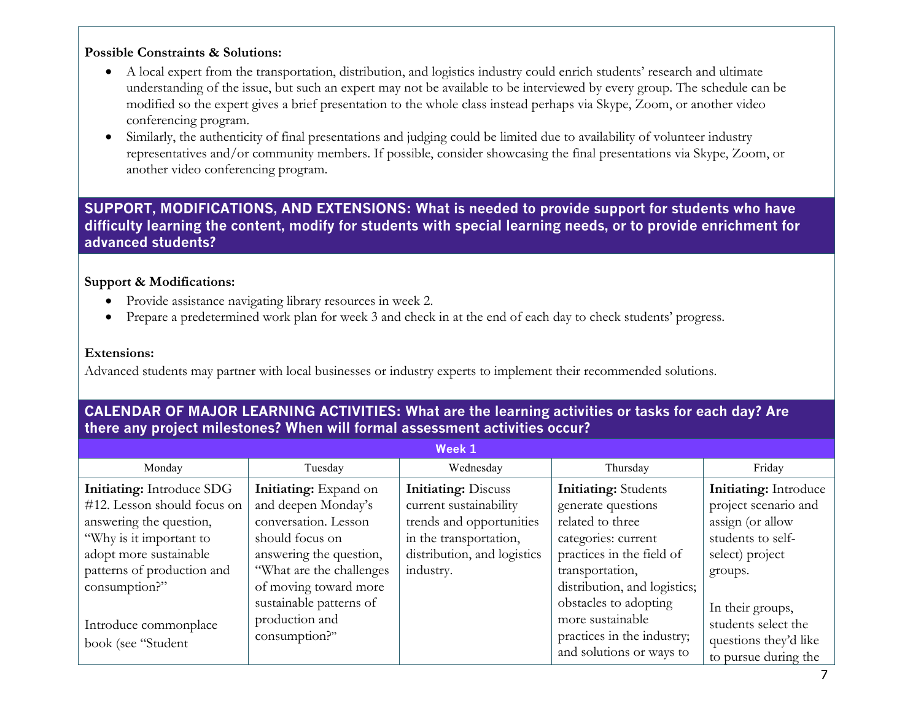## **Possible Constraints & Solutions:**

- A local expert from the transportation, distribution, and logistics industry could enrich students' research and ultimate understanding of the issue, but such an expert may not be available to be interviewed by every group. The schedule can be modified so the expert gives a brief presentation to the whole class instead perhaps via Skype, Zoom, or another video conferencing program.
- Similarly, the authenticity of final presentations and judging could be limited due to availability of volunteer industry representatives and/or community members. If possible, consider showcasing the final presentations via Skype, Zoom, or another video conferencing program.

**SUPPORT, MODIFICATIONS, AND EXTENSIONS: What is needed to provide support for students who have difficulty learning the content, modify for students with special learning needs, or to provide enrichment for advanced students?**

#### **Support & Modifications:**

- Provide assistance navigating library resources in week 2.
- Prepare a predetermined work plan for week 3 and check in at the end of each day to check students' progress.

#### **Extensions:**

Advanced students may partner with local businesses or industry experts to implement their recommended solutions.

## **CALENDAR OF MAJOR LEARNING ACTIVITIES: What are the learning activities or tasks for each day? Are there any project milestones? When will formal assessment activities occur?**

| Week 1                                                                                                                                                                                         |                                                                                                                                                                          |                                                                                                                                                        |                                                                                                                                                                              |                                                                                                                             |  |
|------------------------------------------------------------------------------------------------------------------------------------------------------------------------------------------------|--------------------------------------------------------------------------------------------------------------------------------------------------------------------------|--------------------------------------------------------------------------------------------------------------------------------------------------------|------------------------------------------------------------------------------------------------------------------------------------------------------------------------------|-----------------------------------------------------------------------------------------------------------------------------|--|
| Monday                                                                                                                                                                                         | Tuesday                                                                                                                                                                  | Wednesday                                                                                                                                              | Thursday                                                                                                                                                                     | Friday                                                                                                                      |  |
| <b>Initiating:</b> Introduce SDG<br>#12. Lesson should focus on<br>answering the question,<br>"Why is it important to<br>adopt more sustainable<br>patterns of production and<br>consumption?" | Initiating: Expand on<br>and deepen Monday's<br>conversation. Lesson<br>should focus on<br>answering the question,<br>"What are the challenges"<br>of moving toward more | <b>Initiating: Discuss</b><br>current sustainability<br>trends and opportunities<br>in the transportation,<br>distribution, and logistics<br>industry. | <b>Initiating:</b> Students<br>generate questions<br>related to three<br>categories: current<br>practices in the field of<br>transportation,<br>distribution, and logistics; | <b>Initiating:</b> Introduce<br>project scenario and<br>assign (or allow<br>students to self-<br>select) project<br>groups. |  |
| Introduce commonplace<br>book (see "Student                                                                                                                                                    | sustainable patterns of<br>production and<br>consumption?"                                                                                                               |                                                                                                                                                        | obstacles to adopting<br>more sustainable<br>practices in the industry;<br>and solutions or ways to                                                                          | In their groups,<br>students select the<br>questions they'd like<br>to pursue during the                                    |  |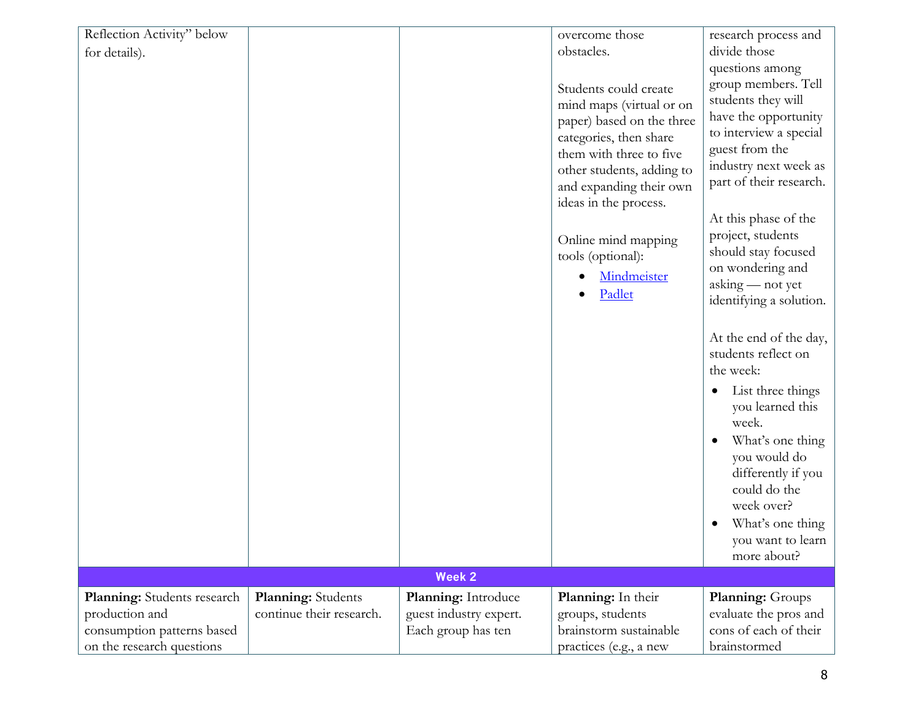| Reflection Activity" below<br>for details).                                                              |                                                |                                                                     | overcome those<br>obstacles.                                                                                                                                                                                         | research process and<br>divide those                                                                                                                                                                         |
|----------------------------------------------------------------------------------------------------------|------------------------------------------------|---------------------------------------------------------------------|----------------------------------------------------------------------------------------------------------------------------------------------------------------------------------------------------------------------|--------------------------------------------------------------------------------------------------------------------------------------------------------------------------------------------------------------|
|                                                                                                          |                                                |                                                                     | Students could create<br>mind maps (virtual or on<br>paper) based on the three<br>categories, then share<br>them with three to five<br>other students, adding to<br>and expanding their own<br>ideas in the process. | questions among<br>group members. Tell<br>students they will<br>have the opportunity<br>to interview a special<br>guest from the<br>industry next week as<br>part of their research.<br>At this phase of the |
|                                                                                                          |                                                |                                                                     | Online mind mapping<br>tools (optional):<br>Mindmeister<br>Padlet                                                                                                                                                    | project, students<br>should stay focused<br>on wondering and<br>asking - not yet<br>identifying a solution.                                                                                                  |
|                                                                                                          |                                                |                                                                     |                                                                                                                                                                                                                      | At the end of the day,<br>students reflect on<br>the week:<br>List three things<br>you learned this                                                                                                          |
|                                                                                                          |                                                |                                                                     |                                                                                                                                                                                                                      | week.<br>What's one thing<br>you would do<br>differently if you<br>could do the<br>week over?<br>What's one thing<br>you want to learn<br>more about?                                                        |
|                                                                                                          |                                                | <b>Week 2</b>                                                       |                                                                                                                                                                                                                      |                                                                                                                                                                                                              |
| Planning: Students research<br>production and<br>consumption patterns based<br>on the research questions | Planning: Students<br>continue their research. | Planning: Introduce<br>guest industry expert.<br>Each group has ten | Planning: In their<br>groups, students<br>brainstorm sustainable<br>practices (e.g., a new                                                                                                                           | Planning: Groups<br>evaluate the pros and<br>cons of each of their<br>brainstormed                                                                                                                           |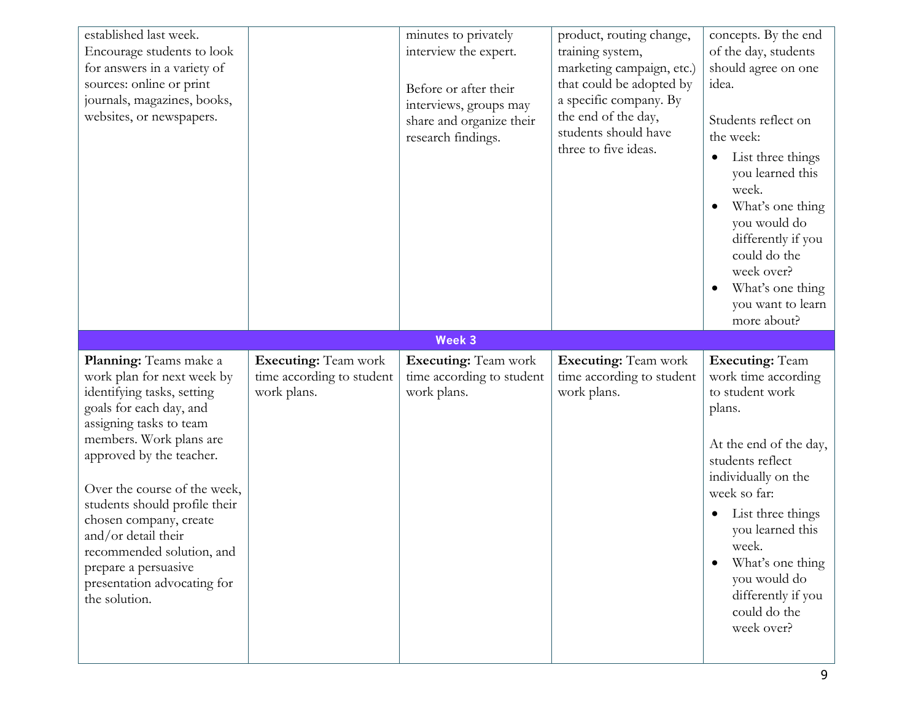| established last week.<br>Encourage students to look<br>for answers in a variety of<br>sources: online or print<br>journals, magazines, books,<br>websites, or newspapers.                                                                                                                                                                                                                                             |                                                                         | minutes to privately<br>interview the expert.<br>Before or after their<br>interviews, groups may<br>share and organize their<br>research findings. | product, routing change,<br>training system,<br>marketing campaign, etc.)<br>that could be adopted by<br>a specific company. By<br>the end of the day,<br>students should have<br>three to five ideas. | concepts. By the end<br>of the day, students<br>should agree on one<br>idea.<br>Students reflect on<br>the week:<br>List three things<br>you learned this<br>week.<br>What's one thing<br>you would do<br>differently if you<br>could do the<br>week over?<br>What's one thing<br>you want to learn<br>more about?     |
|------------------------------------------------------------------------------------------------------------------------------------------------------------------------------------------------------------------------------------------------------------------------------------------------------------------------------------------------------------------------------------------------------------------------|-------------------------------------------------------------------------|----------------------------------------------------------------------------------------------------------------------------------------------------|--------------------------------------------------------------------------------------------------------------------------------------------------------------------------------------------------------|------------------------------------------------------------------------------------------------------------------------------------------------------------------------------------------------------------------------------------------------------------------------------------------------------------------------|
|                                                                                                                                                                                                                                                                                                                                                                                                                        |                                                                         | Week 3                                                                                                                                             |                                                                                                                                                                                                        |                                                                                                                                                                                                                                                                                                                        |
| Planning: Teams make a<br>work plan for next week by<br>identifying tasks, setting<br>goals for each day, and<br>assigning tasks to team<br>members. Work plans are<br>approved by the teacher.<br>Over the course of the week,<br>students should profile their<br>chosen company, create<br>and/or detail their<br>recommended solution, and<br>prepare a persuasive<br>presentation advocating for<br>the solution. | <b>Executing:</b> Team work<br>time according to student<br>work plans. | <b>Executing:</b> Team work<br>time according to student<br>work plans.                                                                            | <b>Executing:</b> Team work<br>time according to student<br>work plans.                                                                                                                                | <b>Executing: Team</b><br>work time according<br>to student work<br>plans.<br>At the end of the day,<br>students reflect<br>individually on the<br>week so far:<br>List three things<br>you learned this<br>week.<br>What's one thing<br>$\bullet$<br>you would do<br>differently if you<br>could do the<br>week over? |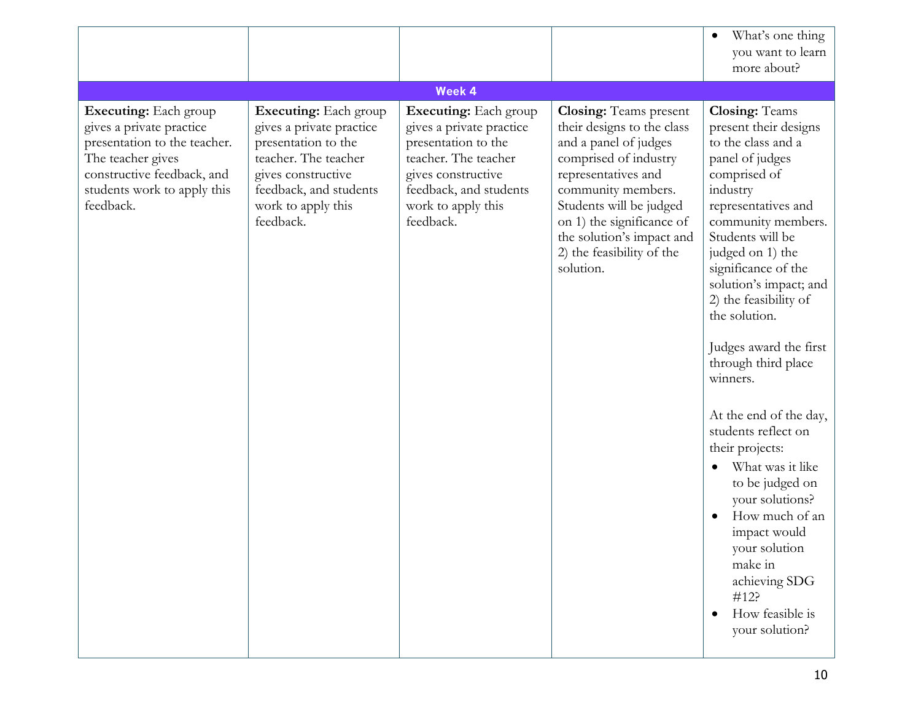|                                                                                                                                                                                         |                                                                                                                                                                                            |                                                                                                                                                                                            |                                                                                                                                                                                                                                                                                           | What's one thing<br>you want to learn<br>more about?                                                                                                                                                                                                                                                                                                                                                                                                                                                                                                                                                                       |
|-----------------------------------------------------------------------------------------------------------------------------------------------------------------------------------------|--------------------------------------------------------------------------------------------------------------------------------------------------------------------------------------------|--------------------------------------------------------------------------------------------------------------------------------------------------------------------------------------------|-------------------------------------------------------------------------------------------------------------------------------------------------------------------------------------------------------------------------------------------------------------------------------------------|----------------------------------------------------------------------------------------------------------------------------------------------------------------------------------------------------------------------------------------------------------------------------------------------------------------------------------------------------------------------------------------------------------------------------------------------------------------------------------------------------------------------------------------------------------------------------------------------------------------------------|
|                                                                                                                                                                                         |                                                                                                                                                                                            | Week 4                                                                                                                                                                                     |                                                                                                                                                                                                                                                                                           |                                                                                                                                                                                                                                                                                                                                                                                                                                                                                                                                                                                                                            |
| <b>Executing:</b> Each group<br>gives a private practice<br>presentation to the teacher.<br>The teacher gives<br>constructive feedback, and<br>students work to apply this<br>feedback. | <b>Executing:</b> Each group<br>gives a private practice<br>presentation to the<br>teacher. The teacher<br>gives constructive<br>feedback, and students<br>work to apply this<br>feedback. | <b>Executing:</b> Each group<br>gives a private practice<br>presentation to the<br>teacher. The teacher<br>gives constructive<br>feedback, and students<br>work to apply this<br>feedback. | <b>Closing:</b> Teams present<br>their designs to the class<br>and a panel of judges<br>comprised of industry<br>representatives and<br>community members.<br>Students will be judged<br>on 1) the significance of<br>the solution's impact and<br>2) the feasibility of the<br>solution. | <b>Closing: Teams</b><br>present their designs<br>to the class and a<br>panel of judges<br>comprised of<br>industry<br>representatives and<br>community members.<br>Students will be<br>judged on 1) the<br>significance of the<br>solution's impact; and<br>2) the feasibility of<br>the solution.<br>Judges award the first<br>through third place<br>winners.<br>At the end of the day,<br>students reflect on<br>their projects:<br>What was it like<br>to be judged on<br>your solutions?<br>How much of an<br>impact would<br>your solution<br>make in<br>achieving SDG<br>#12?<br>How feasible is<br>your solution? |
|                                                                                                                                                                                         |                                                                                                                                                                                            |                                                                                                                                                                                            |                                                                                                                                                                                                                                                                                           |                                                                                                                                                                                                                                                                                                                                                                                                                                                                                                                                                                                                                            |